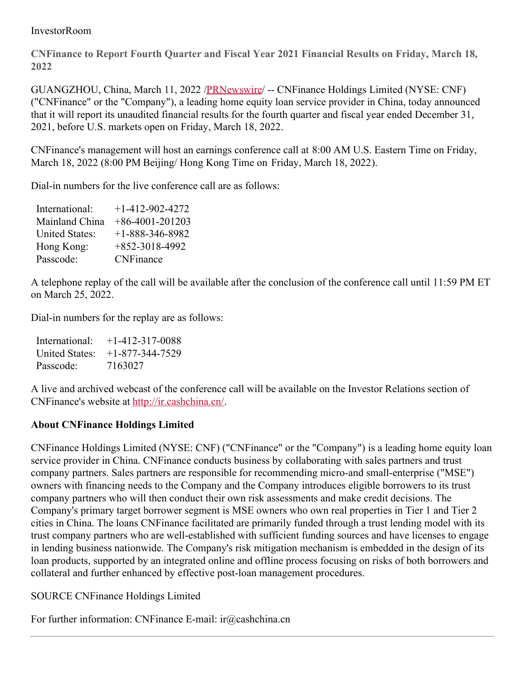## InvestorRoom

**CNFinance to Report Fourth Quarter and Fiscal Year 2021 Financial Results on Friday, March 18, 2022**

GUANGZHOU, China, March 11, 2022 [/PRNewswire](http://www.prnewswire.com/)/ -- CNFinance Holdings Limited (NYSE: CNF) ("CNFinance" or the "Company"), a leading home equity loan service provider in China, today announced that it will report its unaudited financial results for the fourth quarter and fiscal year ended December 31, 2021, before U.S. markets open on Friday, March 18, 2022.

CNFinance's management will host an earnings conference call at 8:00 AM U.S. Eastern Time on Friday, March 18, 2022 (8:00 PM Beijing/ Hong Kong Time on Friday, March 18, 2022).

Dial-in numbers for the live conference call are as follows:

| $+1 - 412 - 902 - 4272$ |
|-------------------------|
| $+86-4001-201203$       |
| $+1 - 888 - 346 - 8982$ |
| $+852-3018-4992$        |
| <b>CNFinance</b>        |
|                         |

A telephone replay of the call will be available after the conclusion of the conference call until 11:59 PM ET on March 25, 2022.

Dial-in numbers for the replay are as follows:

| International: | $+1-412-317-0088$ |
|----------------|-------------------|
| United States: | $+1-877-344-7529$ |
| Passcode:      | 7163027           |

A live and archived webcast of the conference call will be available on the Investor Relations section of CNFinance's website at <http://ir.cashchina.cn/>.

## **About CNFinance Holdings Limited**

CNFinance Holdings Limited (NYSE: CNF) ("CNFinance" or the "Company") is a leading home equity loan service provider in China. CNFinance conducts business by collaborating with sales partners and trust company partners. Sales partners are responsible for recommending micro-and small-enterprise ("MSE") owners with financing needs to the Company and the Company introduces eligible borrowers to its trust company partners who will then conduct their own risk assessments and make credit decisions. The Company's primary target borrower segment is MSE owners who own real properties in Tier 1 and Tier 2 cities in China. The loans CNFinance facilitated are primarily funded through a trust lending model with its trust company partners who are well-established with sufficient funding sources and have licenses to engage in lending business nationwide. The Company's risk mitigation mechanism is embedded in the design of its loan products, supported by an integrated online and offline process focusing on risks of both borrowers and collateral and further enhanced by effective post-loan management procedures.

SOURCE CNFinance Holdings Limited

For further information: CNFinance E-mail: ir@cashchina.cn